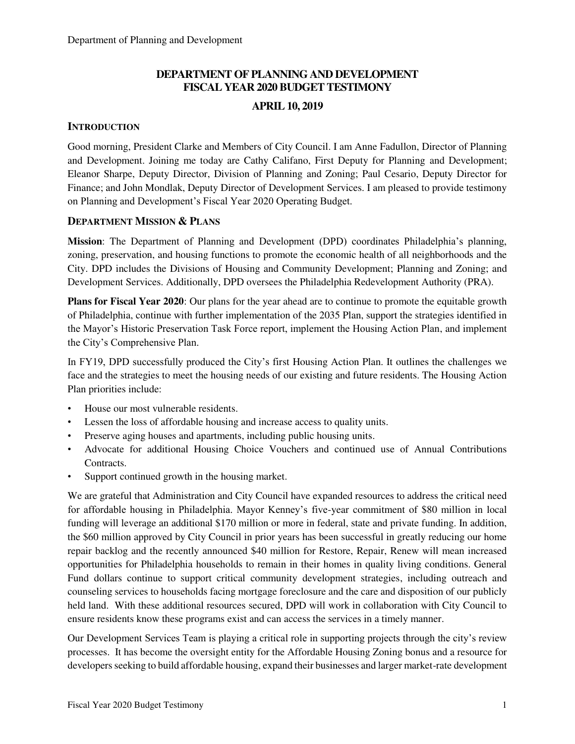# **DEPARTMENT OF PLANNING AND DEVELOPMENT FISCAL YEAR 2020 BUDGET TESTIMONY**

## **APRIL 10, 2019**

## **INTRODUCTION**

Good morning, President Clarke and Members of City Council. I am Anne Fadullon, Director of Planning and Development. Joining me today are Cathy Califano, First Deputy for Planning and Development; Eleanor Sharpe, Deputy Director, Division of Planning and Zoning; Paul Cesario, Deputy Director for Finance; and John Mondlak, Deputy Director of Development Services. I am pleased to provide testimony on Planning and Development's Fiscal Year 2020 Operating Budget.

### **DEPARTMENT MISSION & PLANS**

**Mission**: The Department of Planning and Development (DPD) coordinates Philadelphia's planning, zoning, preservation, and housing functions to promote the economic health of all neighborhoods and the City. DPD includes the Divisions of Housing and Community Development; Planning and Zoning; and Development Services. Additionally, DPD oversees the Philadelphia Redevelopment Authority (PRA).

**Plans for Fiscal Year 2020**: Our plans for the year ahead are to continue to promote the equitable growth of Philadelphia, continue with further implementation of the 2035 Plan, support the strategies identified in the Mayor's Historic Preservation Task Force report, implement the Housing Action Plan, and implement the City's Comprehensive Plan.

In FY19, DPD successfully produced the City's first Housing Action Plan. It outlines the challenges we face and the strategies to meet the housing needs of our existing and future residents. The Housing Action Plan priorities include:

- House our most vulnerable residents.
- Lessen the loss of affordable housing and increase access to quality units.
- Preserve aging houses and apartments, including public housing units.
- Advocate for additional Housing Choice Vouchers and continued use of Annual Contributions Contracts.
- Support continued growth in the housing market.

We are grateful that Administration and City Council have expanded resources to address the critical need for affordable housing in Philadelphia. Mayor Kenney's five-year commitment of \$80 million in local funding will leverage an additional \$170 million or more in federal, state and private funding. In addition, the \$60 million approved by City Council in prior years has been successful in greatly reducing our home repair backlog and the recently announced \$40 million for Restore, Repair, Renew will mean increased opportunities for Philadelphia households to remain in their homes in quality living conditions. General Fund dollars continue to support critical community development strategies, including outreach and counseling services to households facing mortgage foreclosure and the care and disposition of our publicly held land. With these additional resources secured, DPD will work in collaboration with City Council to ensure residents know these programs exist and can access the services in a timely manner.

Our Development Services Team is playing a critical role in supporting projects through the city's review processes. It has become the oversight entity for the Affordable Housing Zoning bonus and a resource for developers seeking to build affordable housing, expand their businesses and larger market-rate development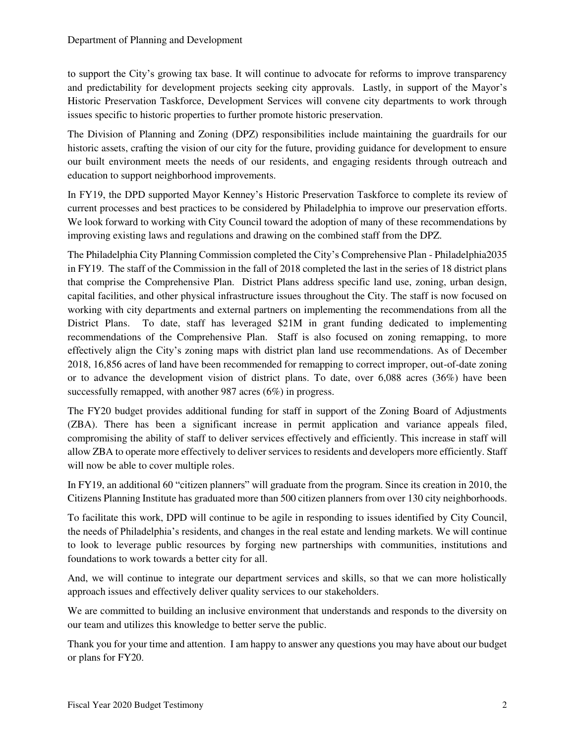to support the City's growing tax base. It will continue to advocate for reforms to improve transparency and predictability for development projects seeking city approvals. Lastly, in support of the Mayor's Historic Preservation Taskforce, Development Services will convene city departments to work through issues specific to historic properties to further promote historic preservation.

The Division of Planning and Zoning (DPZ) responsibilities include maintaining the guardrails for our historic assets, crafting the vision of our city for the future, providing guidance for development to ensure our built environment meets the needs of our residents, and engaging residents through outreach and education to support neighborhood improvements.

In FY19, the DPD supported Mayor Kenney's Historic Preservation Taskforce to complete its review of current processes and best practices to be considered by Philadelphia to improve our preservation efforts. We look forward to working with City Council toward the adoption of many of these recommendations by improving existing laws and regulations and drawing on the combined staff from the DPZ.

The Philadelphia City Planning Commission completed the City's Comprehensive Plan - Philadelphia2035 in FY19. The staff of the Commission in the fall of 2018 completed the last in the series of 18 district plans that comprise the Comprehensive Plan. District Plans address specific land use, zoning, urban design, capital facilities, and other physical infrastructure issues throughout the City. The staff is now focused on working with city departments and external partners on implementing the recommendations from all the District Plans. To date, staff has leveraged \$21M in grant funding dedicated to implementing recommendations of the Comprehensive Plan. Staff is also focused on zoning remapping, to more effectively align the City's zoning maps with district plan land use recommendations. As of December 2018, 16,856 acres of land have been recommended for remapping to correct improper, out-of-date zoning or to advance the development vision of district plans. To date, over 6,088 acres (36%) have been successfully remapped, with another 987 acres (6%) in progress.

The FY20 budget provides additional funding for staff in support of the Zoning Board of Adjustments (ZBA). There has been a significant increase in permit application and variance appeals filed, compromising the ability of staff to deliver services effectively and efficiently. This increase in staff will allow ZBA to operate more effectively to deliver services to residents and developers more efficiently. Staff will now be able to cover multiple roles.

In FY19, an additional 60 "citizen planners" will graduate from the program. Since its creation in 2010, the Citizens Planning Institute has graduated more than 500 citizen planners from over 130 city neighborhoods.

To facilitate this work, DPD will continue to be agile in responding to issues identified by City Council, the needs of Philadelphia's residents, and changes in the real estate and lending markets. We will continue to look to leverage public resources by forging new partnerships with communities, institutions and foundations to work towards a better city for all.

And, we will continue to integrate our department services and skills, so that we can more holistically approach issues and effectively deliver quality services to our stakeholders.

We are committed to building an inclusive environment that understands and responds to the diversity on our team and utilizes this knowledge to better serve the public.

Thank you for your time and attention. I am happy to answer any questions you may have about our budget or plans for FY20.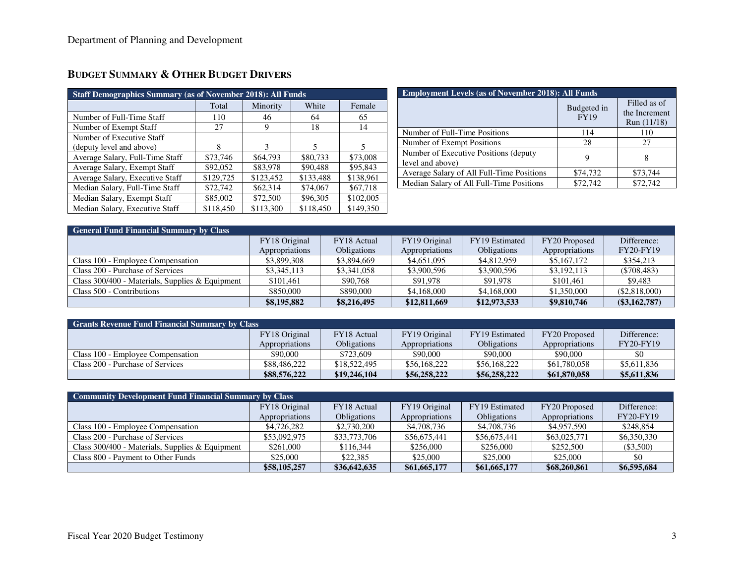| <b>Staff Demographics Summary (as of November 2018): All Funds</b> |           |           |           |           |  |  |
|--------------------------------------------------------------------|-----------|-----------|-----------|-----------|--|--|
|                                                                    | Total     | Minority  | White     | Female    |  |  |
| Number of Full-Time Staff                                          | 110       | 46        | 64        | 65        |  |  |
| Number of Exempt Staff                                             | 27        | 9         | 18        | 14        |  |  |
| Number of Executive Staff                                          |           |           |           |           |  |  |
| (deputy level and above)                                           | 8         | 3         | 5         | 5         |  |  |
| Average Salary, Full-Time Staff                                    | \$73,746  | \$64,793  | \$80,733  | \$73,008  |  |  |
| Average Salary, Exempt Staff                                       | \$92,052  | \$83,978  | \$90,488  | \$95,843  |  |  |
| Average Salary, Executive Staff                                    | \$129,725 | \$123,452 | \$133,488 | \$138,961 |  |  |
| Median Salary, Full-Time Staff                                     | \$72,742  | \$62,314  | \$74,067  | \$67,718  |  |  |
| Median Salary, Exempt Staff                                        | \$85,002  | \$72,500  | \$96,305  | \$102,005 |  |  |
| Median Salary, Executive Staff                                     | \$118,450 | \$113,300 | \$118,450 | \$149,350 |  |  |

| <b>Employment Levels (as of November 2018): All Funds</b>  |                            |                                              |  |  |  |
|------------------------------------------------------------|----------------------------|----------------------------------------------|--|--|--|
|                                                            | Budgeted in<br><b>FY19</b> | Filled as of<br>the Increment<br>Run (11/18) |  |  |  |
| Number of Full-Time Positions                              | 114                        | 110                                          |  |  |  |
| Number of Exempt Positions                                 | 28                         | 27                                           |  |  |  |
| Number of Executive Positions (deputy)<br>level and above) | 9                          | 8                                            |  |  |  |
| Average Salary of All Full-Time Positions                  | \$74,732                   | \$73,744                                     |  |  |  |
| Median Salary of All Full-Time Positions                   | \$72,742                   | \$72,742                                     |  |  |  |

| <b>General Fund Financial Summary by Class</b>    |                |                    |                |                    |                |                  |  |
|---------------------------------------------------|----------------|--------------------|----------------|--------------------|----------------|------------------|--|
|                                                   | FY18 Original  | FY18 Actual        | FY19 Original  | FY19 Estimated     | FY20 Proposed  | Difference:      |  |
|                                                   | Appropriations | <b>Obligations</b> | Appropriations | <b>Obligations</b> | Appropriations | <b>FY20-FY19</b> |  |
| Class 100 - Employee Compensation                 | \$3,899,308    | \$3,894,669        | \$4,651,095    | \$4,812,959        | \$5,167,172    | \$354,213        |  |
| Class 200 - Purchase of Services                  | \$3,345,113    | \$3,341,058        | \$3,900,596    | \$3,900,596        | \$3,192,113    | $(\$708,483)$    |  |
| Class $300/400$ - Materials, Supplies & Equipment | \$101.461      | \$90,768           | \$91,978       | \$91,978           | \$101.461      | \$9.483          |  |
| Class 500 - Contributions                         | \$850,000      | \$890,000          | \$4,168,000    | \$4,168,000        | \$1,350,000    | (\$2,818,000)    |  |
|                                                   | \$8,195,882    | \$8,216,495        | \$12,811,669   | \$12,973,533       | \$9,810,746    | $(\$3,162,787)$  |  |

| <b>Grants Revenue Fund Financial Summary by Class</b> |                |                    |                |                    |                |                  |  |
|-------------------------------------------------------|----------------|--------------------|----------------|--------------------|----------------|------------------|--|
|                                                       | FY18 Original  | FY18 Actual        | FY19 Original  | FY19 Estimated     | FY20 Proposed  | Difference:      |  |
|                                                       | Appropriations | <b>Obligations</b> | Appropriations | <b>Obligations</b> | Appropriations | <b>FY20-FY19</b> |  |
| Class 100 - Employee Compensation                     | \$90,000       | \$723,609          | \$90,000       | \$90,000           | \$90,000       | \$0              |  |
| Class 200 - Purchase of Services                      | \$88,486,222   | \$18,522,495       | \$56,168,222   | \$56,168,222       | \$61,780,058   | \$5,611,836      |  |
|                                                       | \$88,576,222   | \$19,246,104       | \$56,258,222   | \$56,258,222       | \$61,870,058   | \$5,611,836      |  |

| <b>Community Development Fund Financial Summary by Class</b> |                |                    |                |                    |                |                  |  |
|--------------------------------------------------------------|----------------|--------------------|----------------|--------------------|----------------|------------------|--|
|                                                              | FY18 Original  | FY18 Actual        | FY19 Original  | FY19 Estimated     | FY20 Proposed  | Difference:      |  |
|                                                              | Appropriations | <b>Obligations</b> | Appropriations | <b>Obligations</b> | Appropriations | <b>FY20-FY19</b> |  |
| Class 100 - Employee Compensation                            | \$4,726,282    | \$2,730,200        | \$4,708,736    | \$4,708,736        | \$4,957,590    | \$248,854        |  |
| Class 200 - Purchase of Services                             | \$53,092,975   | \$33,773,706       | \$56,675,441   | \$56,675,441       | \$63,025,771   | \$6,350,330      |  |
| Class $300/400$ - Materials, Supplies & Equipment            | \$261,000      | \$116.344          | \$256,000      | \$256,000          | \$252,500      | $(\$3,500)$      |  |
| Class 800 - Payment to Other Funds                           | \$25,000       | \$22,385           | \$25,000       | \$25,000           | \$25,000       | \$0              |  |
|                                                              | \$58,105,257   | \$36,642,635       | \$61,665,177   | \$61,665,177       | \$68,260,861   | \$6,595,684      |  |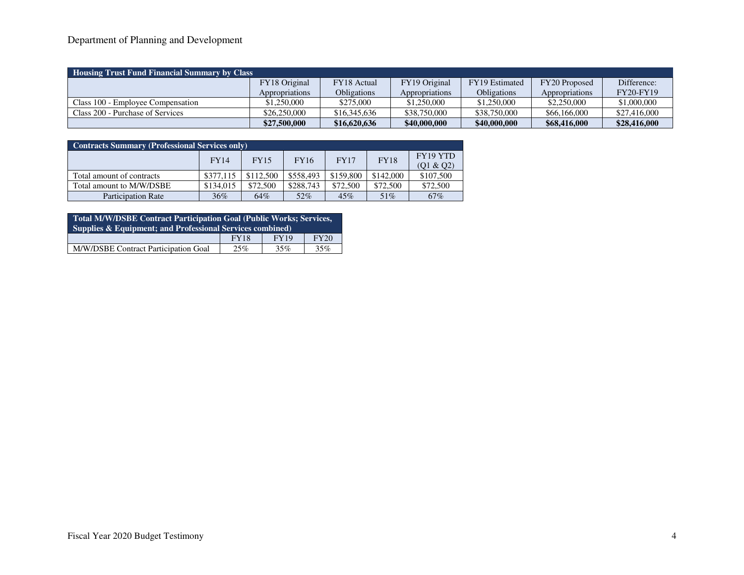## Department of Planning and Development

| Housing Trust Fund Financial Summary by Class |                       |                    |                |                    |                       |                  |  |
|-----------------------------------------------|-----------------------|--------------------|----------------|--------------------|-----------------------|------------------|--|
|                                               | FY18 Original         | FY18 Actual        | FY19 Original  | FY19 Estimated     | FY20 Proposed         | Difference:      |  |
|                                               | <i>Appropriations</i> | <b>Obligations</b> | Appropriations | <b>Obligations</b> | <i>Appropriations</i> | <b>FY20-FY19</b> |  |
| Class 100 - Employee Compensation             | \$1,250,000           | \$275,000          | \$1,250,000    | \$1,250,000        | \$2,250,000           | \$1,000,000      |  |
| Class 200 - Purchase of Services              | \$26,250,000          | \$16,345,636       | \$38,750,000   | \$38,750,000       | \$66,166,000          | \$27,416,000     |  |
|                                               | \$27,500,000          | \$16,620,636       | \$40,000,000   | \$40,000,000       | \$68,416,000          | \$28,416,000     |  |

| <b>Contracts Summary (Professional Services only)</b> |             |           |             |             |             |                              |  |
|-------------------------------------------------------|-------------|-----------|-------------|-------------|-------------|------------------------------|--|
|                                                       | <b>FY14</b> | FY15      | <b>FY16</b> | <b>FY17</b> | <b>FY18</b> | <b>FY19 YTD</b><br>(Q1 & Q2) |  |
| Total amount of contracts                             | \$377,115   | \$112,500 | \$558,493   | \$159,800   | \$142,000   | \$107,500                    |  |
| Total amount to M/W/DSBE                              | \$134,015   | \$72,500  | \$288,743   | \$72,500    | \$72,500    | \$72,500                     |  |
| <b>Participation Rate</b>                             | 36%         | 64%       | 52%         | 45%         | 51%         | 67%                          |  |

| Total M/W/DSBE Contract Participation Goal (Public Works; Services,  |     |     |     |  |  |
|----------------------------------------------------------------------|-----|-----|-----|--|--|
| <b>Supplies &amp; Equipment; and Professional Services combined)</b> |     |     |     |  |  |
| FY20<br><b>FY19</b><br><b>FY18</b>                                   |     |     |     |  |  |
| M/W/DSBE Contract Participation Goal                                 | 25% | 35% | 35% |  |  |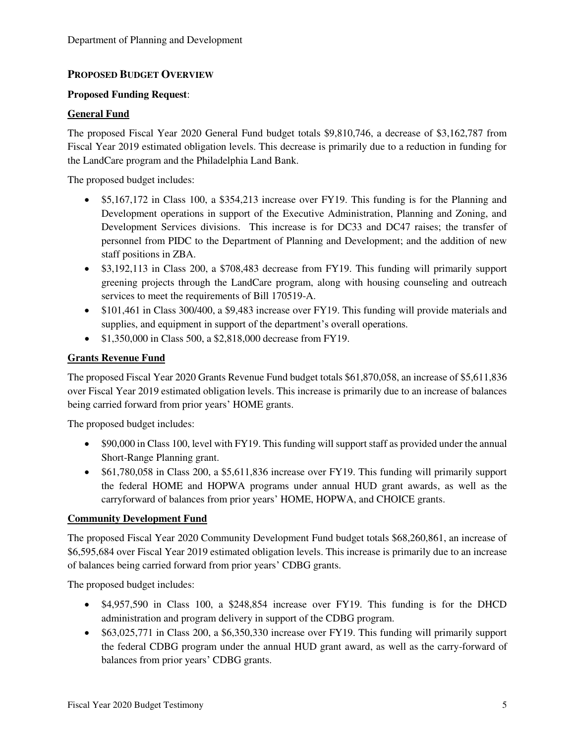## **PROPOSED BUDGET OVERVIEW**

## **Proposed Funding Request**:

### **General Fund**

The proposed Fiscal Year 2020 General Fund budget totals \$9,810,746, a decrease of \$3,162,787 from Fiscal Year 2019 estimated obligation levels. This decrease is primarily due to a reduction in funding for the LandCare program and the Philadelphia Land Bank.

The proposed budget includes:

- \$5,167,172 in Class 100, a \$354,213 increase over FY19. This funding is for the Planning and Development operations in support of the Executive Administration, Planning and Zoning, and Development Services divisions. This increase is for DC33 and DC47 raises; the transfer of personnel from PIDC to the Department of Planning and Development; and the addition of new staff positions in ZBA.
- \$3,192,113 in Class 200, a \$708,483 decrease from FY19. This funding will primarily support greening projects through the LandCare program, along with housing counseling and outreach services to meet the requirements of Bill 170519-A.
- \$101,461 in Class 300/400, a \$9,483 increase over FY19. This funding will provide materials and supplies, and equipment in support of the department's overall operations.
- \$1,350,000 in Class 500, a \$2,818,000 decrease from FY19.

### **Grants Revenue Fund**

The proposed Fiscal Year 2020 Grants Revenue Fund budget totals \$61,870,058, an increase of \$5,611,836 over Fiscal Year 2019 estimated obligation levels. This increase is primarily due to an increase of balances being carried forward from prior years' HOME grants.

The proposed budget includes:

- \$90,000 in Class 100, level with FY19. This funding will support staff as provided under the annual Short-Range Planning grant.
- \$61,780,058 in Class 200, a \$5,611,836 increase over FY19. This funding will primarily support the federal HOME and HOPWA programs under annual HUD grant awards, as well as the carryforward of balances from prior years' HOME, HOPWA, and CHOICE grants.

## **Community Development Fund**

The proposed Fiscal Year 2020 Community Development Fund budget totals \$68,260,861, an increase of \$6,595,684 over Fiscal Year 2019 estimated obligation levels. This increase is primarily due to an increase of balances being carried forward from prior years' CDBG grants.

The proposed budget includes:

- \$4,957,590 in Class 100, a \$248,854 increase over FY19. This funding is for the DHCD administration and program delivery in support of the CDBG program.
- \$63,025,771 in Class 200, a \$6,350,330 increase over FY19. This funding will primarily support the federal CDBG program under the annual HUD grant award, as well as the carry-forward of balances from prior years' CDBG grants.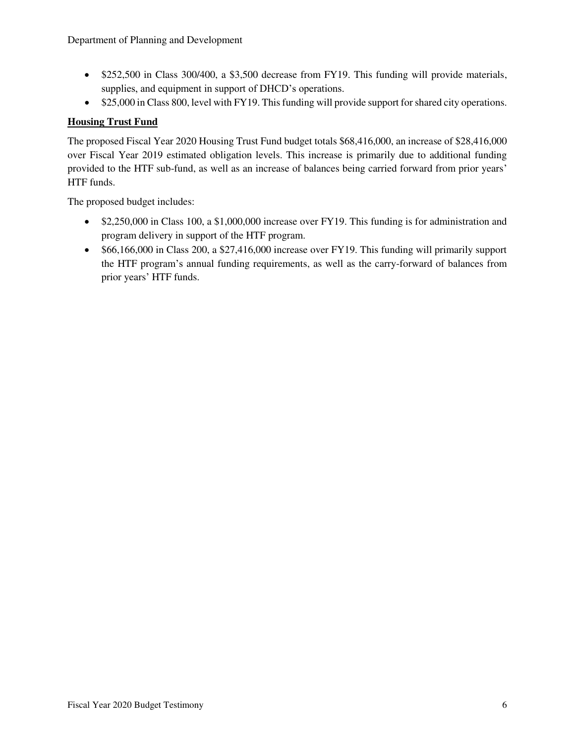- \$252,500 in Class 300/400, a \$3,500 decrease from FY19. This funding will provide materials, supplies, and equipment in support of DHCD's operations.
- \$25,000 in Class 800, level with FY19. This funding will provide support for shared city operations.

## **Housing Trust Fund**

The proposed Fiscal Year 2020 Housing Trust Fund budget totals \$68,416,000, an increase of \$28,416,000 over Fiscal Year 2019 estimated obligation levels. This increase is primarily due to additional funding provided to the HTF sub-fund, as well as an increase of balances being carried forward from prior years' HTF funds.

The proposed budget includes:

- \$2,250,000 in Class 100, a \$1,000,000 increase over FY19. This funding is for administration and program delivery in support of the HTF program.
- \$66,166,000 in Class 200, a \$27,416,000 increase over FY19. This funding will primarily support the HTF program's annual funding requirements, as well as the carry-forward of balances from prior years' HTF funds.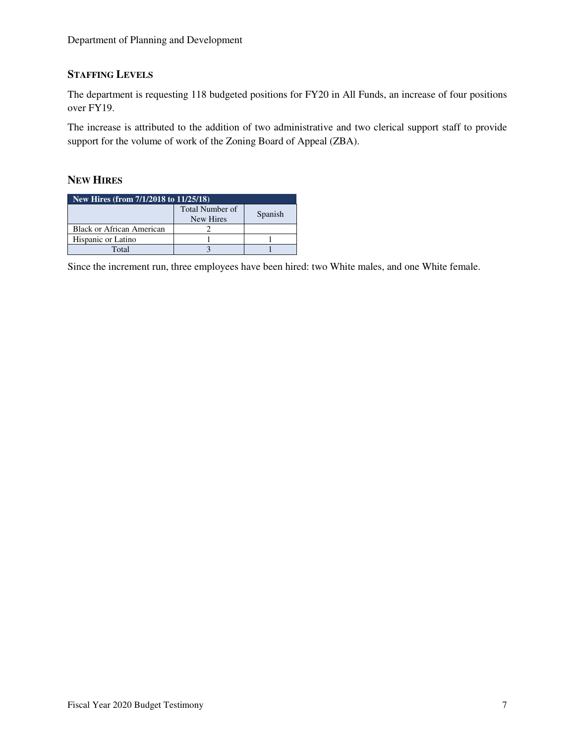## **STAFFING LEVELS**

The department is requesting 118 budgeted positions for FY20 in All Funds, an increase of four positions over FY19.

The increase is attributed to the addition of two administrative and two clerical support staff to provide support for the volume of work of the Zoning Board of Appeal (ZBA).

## **NEW HIRES**

| New Hires (from 7/1/2018 to 11/25/18) |                                     |         |  |  |
|---------------------------------------|-------------------------------------|---------|--|--|
|                                       | <b>Total Number of</b><br>New Hires | Spanish |  |  |
| Black or African American             |                                     |         |  |  |
| Hispanic or Latino                    |                                     |         |  |  |
| Total                                 |                                     |         |  |  |

Since the increment run, three employees have been hired: two White males, and one White female.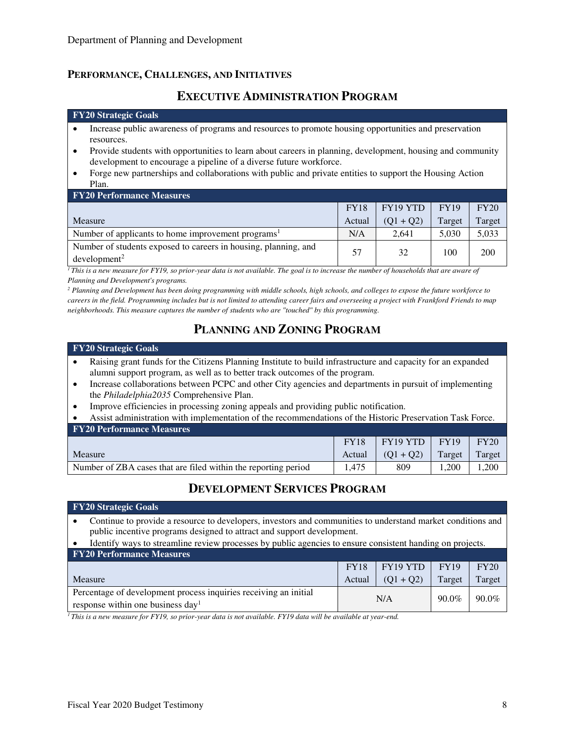## **PERFORMANCE, CHALLENGES, AND INITIATIVES**

## **EXECUTIVE ADMINISTRATION PROGRAM**

#### **FY20 Strategic Goals**

- Increase public awareness of programs and resources to promote housing opportunities and preservation resources.
- Provide students with opportunities to learn about careers in planning, development, housing and community development to encourage a pipeline of a diverse future workforce.
- Forge new partnerships and collaborations with public and private entities to support the Housing Action Plan.

| <b>FY20 Performance Measures</b>                                                               |             |             |             |            |  |  |  |
|------------------------------------------------------------------------------------------------|-------------|-------------|-------------|------------|--|--|--|
|                                                                                                | <b>FY18</b> | FY19 YTD    | <b>FY19</b> | FY20       |  |  |  |
| Measure                                                                                        | Actual      | $(01 + 02)$ | Target      | Target     |  |  |  |
| Number of applicants to home improvement programs <sup>1</sup>                                 | N/A         | 2.641       | 5.030       | 5,033      |  |  |  |
| Number of students exposed to careers in housing, planning, and<br>$d$ evelopment <sup>2</sup> | 57          | 32          | 100         | <b>200</b> |  |  |  |

 $\overline{I}$ This is a new measure for FY19, so prior-year data is not available. The goal is to increase the number of households that are aware of *Planning and Development's programs.* 

<sup>2</sup> Planning and Development has been doing programming with middle schools, high schools, and colleges to expose the future workforce to *careers in the field. Programming includes but is not limited to attending career fairs and overseeing a project with Frankford Friends to map neighborhoods. This measure captures the number of students who are "touched" by this programming.* 

# **PLANNING AND ZONING PROGRAM**

#### **FY20 Strategic Goals**

**FY20 Strategic Goals** 

- Raising grant funds for the Citizens Planning Institute to build infrastructure and capacity for an expanded alumni support program, as well as to better track outcomes of the program.
- Increase collaborations between PCPC and other City agencies and departments in pursuit of implementing the *Philadelphia2035* Comprehensive Plan.
- Improve efficiencies in processing zoning appeals and providing public notification.

• Assist administration with implementation of the recommendations of the Historic Preservation Task Force.

| <b>FY20 Performance Measures</b>                               |             |             |             |        |  |  |  |
|----------------------------------------------------------------|-------------|-------------|-------------|--------|--|--|--|
|                                                                | <b>FY18</b> | FY19 YTD    | <b>FY19</b> | FY20   |  |  |  |
| Measure                                                        | Actual      | $(01 + 02)$ | Target      | Target |  |  |  |
| Number of ZBA cases that are filed within the reporting period | 1.475       | 809         | .200        | .200   |  |  |  |

# **DEVELOPMENT SERVICES PROGRAM**

| • Continue to provide a resource to developers, investors and communities to understand market conditions and |
|---------------------------------------------------------------------------------------------------------------|
| public incentive programs designed to attract and support development.                                        |

<sup>•</sup> Identify ways to streamline review processes by public agencies to ensure consistent handing on projects.

| <b>FY20 Performance Measures</b>                                                                                  |                 |             |        |        |  |  |  |
|-------------------------------------------------------------------------------------------------------------------|-----------------|-------------|--------|--------|--|--|--|
|                                                                                                                   | <b>FY18</b>     | FY19 YTD    | FY19   | FY20   |  |  |  |
| Measure                                                                                                           | Actual          | $(01 + 02)$ | Target | Target |  |  |  |
| Percentage of development process inquiries receiving an initial<br>response within one business day <sup>1</sup> | $90.0\%$<br>N/A |             | 90.0%  |        |  |  |  |

<sup>1</sup> *This is a new measure for FY19, so prior-year data is not available. FY19 data will be available at year-end.*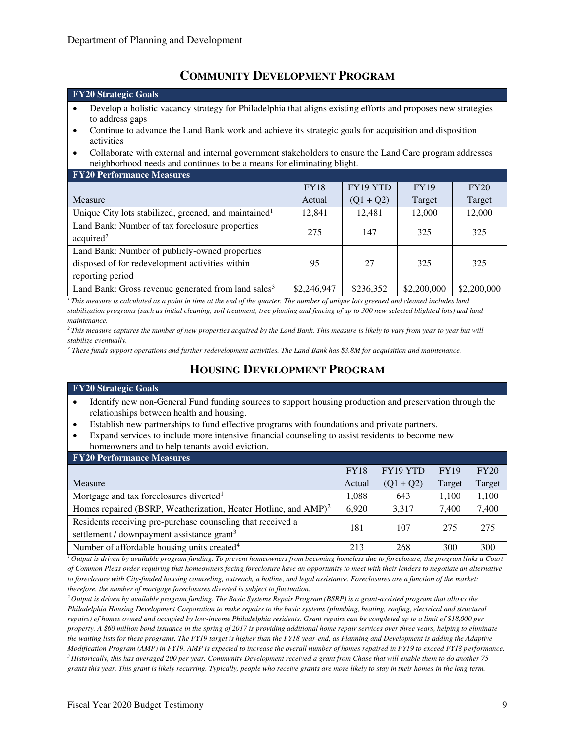## **COMMUNITY DEVELOPMENT PROGRAM**

#### **FY20 Strategic Goals**

- Develop a holistic vacancy strategy for Philadelphia that aligns existing efforts and proposes new strategies to address gaps
- Continue to advance the Land Bank work and achieve its strategic goals for acquisition and disposition activities
- Collaborate with external and internal government stakeholders to ensure the Land Care program addresses neighborhood needs and continues to be a means for eliminating blight.

| <b>FY20 Performance Measures</b>                                                                                      |             |             |             |             |  |  |  |  |
|-----------------------------------------------------------------------------------------------------------------------|-------------|-------------|-------------|-------------|--|--|--|--|
|                                                                                                                       | <b>FY18</b> | FY19 YTD    | <b>FY19</b> | FY20        |  |  |  |  |
| <b>Measure</b>                                                                                                        | Actual      | $(Q1 + Q2)$ | Target      | Target      |  |  |  |  |
| Unique City lots stabilized, greened, and maintained <sup>1</sup>                                                     | 12,841      | 12,481      | 12,000      | 12,000      |  |  |  |  |
| Land Bank: Number of tax foreclosure properties<br>acquired <sup>2</sup>                                              | 275         | 147         | 325         | 325         |  |  |  |  |
| Land Bank: Number of publicly-owned properties<br>disposed of for redevelopment activities within<br>reporting period | 95          | 27          | 325         | 325         |  |  |  |  |
| Land Bank: Gross revenue generated from land sales <sup>3</sup>                                                       | \$2,246,947 | \$236,352   | \$2,200,000 | \$2,200,000 |  |  |  |  |

*<sup>1</sup>This measure is calculated as a point in time at the end of the quarter. The number of unique lots greened and cleaned includes land stabilization programs (such as initial cleaning, soil treatment, tree planting and fencing of up to 300 new selected blighted lots) and land maintenance.* 

*<sup>2</sup>This measure captures the number of new properties acquired by the Land Bank. This measure is likely to vary from year to year but will stabilize eventually.* 

<sup>3</sup> These funds support operations and further redevelopment activities. The Land Bank has \$3.8M for acquisition and maintenance.

## **HOUSING DEVELOPMENT PROGRAM**

#### **FY20 Strategic Goals**

- Identify new non-General Fund funding sources to support housing production and preservation through the relationships between health and housing.
- Establish new partnerships to fund effective programs with foundations and private partners.
- Expand services to include more intensive financial counseling to assist residents to become new homeowners and to help tenants avoid eviction.

| <b>FY20 Performance Measures</b>                                                                                      |             |                 |             |        |  |  |  |  |
|-----------------------------------------------------------------------------------------------------------------------|-------------|-----------------|-------------|--------|--|--|--|--|
|                                                                                                                       | <b>FY18</b> | <b>FY19 YTD</b> | <b>FY19</b> | FY20   |  |  |  |  |
| Measure                                                                                                               | Actual      | $(Q1 + Q2)$     | Target      | Target |  |  |  |  |
| Mortgage and tax foreclosures diverted <sup>1</sup>                                                                   | 1.088       | 643             | 1.100       | 1,100  |  |  |  |  |
| Homes repaired (BSRP, Weatherization, Heater Hotline, and AMP) <sup>2</sup>                                           | 6.920       | 3.317           | 7.400       | 7,400  |  |  |  |  |
| Residents receiving pre-purchase counseling that received a<br>settlement / downpayment assistance grant <sup>3</sup> | 181         | 107             | 275         | 275    |  |  |  |  |
| Number of affordable housing units created <sup>4</sup>                                                               | 213         | 268             | 300         | 300    |  |  |  |  |

*<sup>1</sup>Output is driven by available program funding. To prevent homeowners from becoming homeless due to foreclosure, the program links a Court of Common Pleas order requiring that homeowners facing foreclosure have an opportunity to meet with their lenders to negotiate an alternative to foreclosure with City-funded housing counseling, outreach, a hotline, and legal assistance. Foreclosures are a function of the market; therefore, the number of mortgage foreclosures diverted is subject to fluctuation.* 

*<sup>2</sup>Output is driven by available program funding. The Basic Systems Repair Program (BSRP) is a grant-assisted program that allows the Philadelphia Housing Development Corporation to make repairs to the basic systems (plumbing, heating, roofing, electrical and structural repairs) of homes owned and occupied by low-income Philadelphia residents. Grant repairs can be completed up to a limit of \$18,000 per property. A \$60 million bond issuance in the spring of 2017 is providing additional home repair services over three years, helping to eliminate the waiting lists for these programs. The FY19 target is higher than the FY18 year-end, as Planning and Development is adding the Adaptive Modification Program (AMP) in FY19. AMP is expected to increase the overall number of homes repaired in FY19 to exceed FY18 performance. <sup>3</sup>Historically, this has averaged 200 per year. Community Development received a grant from Chase that will enable them to do another 75 grants this year. This grant is likely recurring. Typically, people who receive grants are more likely to stay in their homes in the long term.*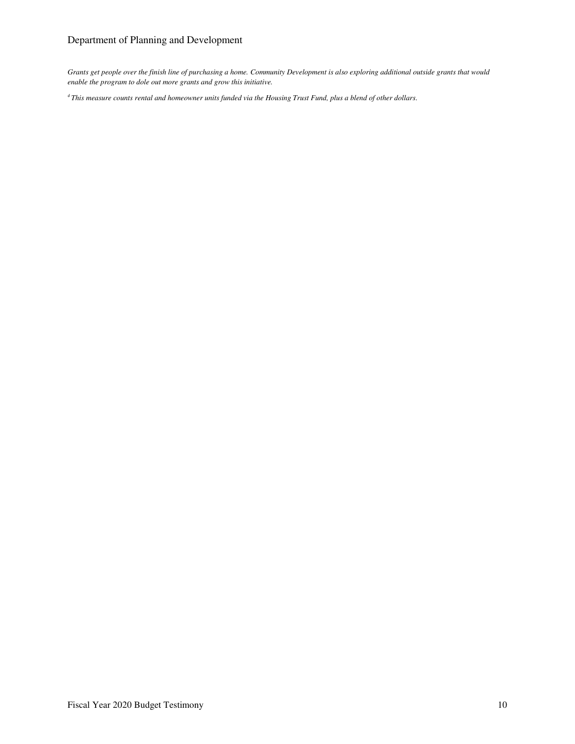## Department of Planning and Development

*Grants get people over the finish line of purchasing a home. Community Development is also exploring additional outside grants that would enable the program to dole out more grants and grow this initiative.* 

*4 This measure counts rental and homeowner units funded via the Housing Trust Fund, plus a blend of other dollars.*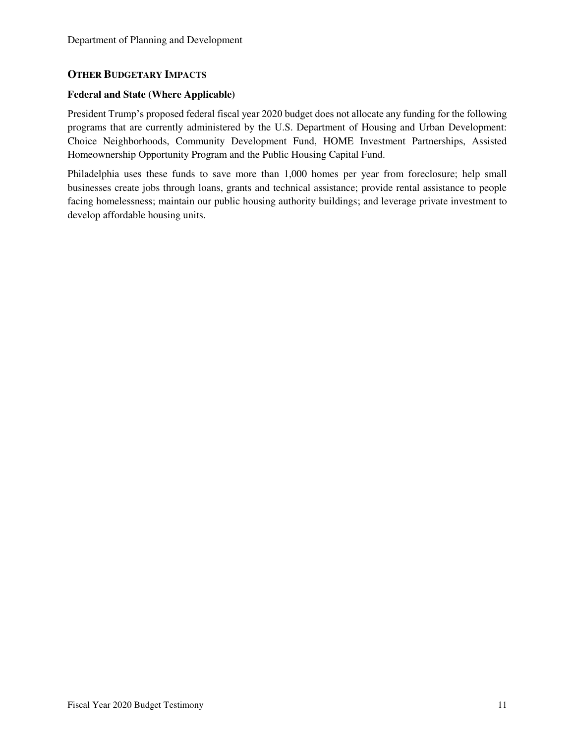## **OTHER BUDGETARY IMPACTS**

### **Federal and State (Where Applicable)**

President Trump's proposed federal fiscal year 2020 budget does not allocate any funding for the following programs that are currently administered by the U.S. Department of Housing and Urban Development: Choice Neighborhoods, Community Development Fund, HOME Investment Partnerships, Assisted Homeownership Opportunity Program and the Public Housing Capital Fund.

Philadelphia uses these funds to save more than 1,000 homes per year from foreclosure; help small businesses create jobs through loans, grants and technical assistance; provide rental assistance to people facing homelessness; maintain our public housing authority buildings; and leverage private investment to develop affordable housing units.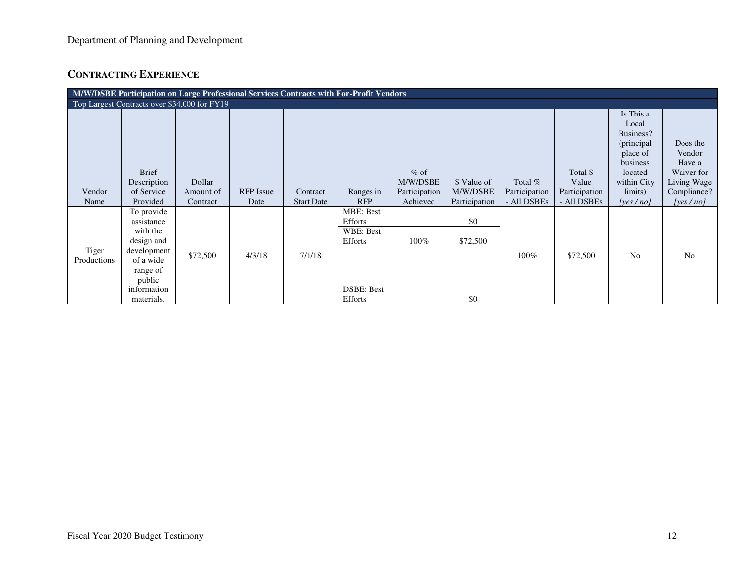# **CONTRACTING EXPERIENCE**

| M/W/DSBE Participation on Large Professional Services Contracts with For-Profit Vendors |                             |           |                  |                   |                                     |                    |               |               |                   |                                                                                                 |                                                           |
|-----------------------------------------------------------------------------------------|-----------------------------|-----------|------------------|-------------------|-------------------------------------|--------------------|---------------|---------------|-------------------|-------------------------------------------------------------------------------------------------|-----------------------------------------------------------|
| Top Largest Contracts over \$34,000 for FY19                                            |                             |           |                  |                   |                                     |                    |               |               |                   |                                                                                                 |                                                           |
|                                                                                         | <b>Brief</b><br>Description | Dollar    |                  |                   |                                     | $%$ of<br>M/W/DSBE | \$ Value of   | Total $%$     | Total \$<br>Value | Is This a<br>Local<br>Business?<br>(principal<br>place of<br>business<br>located<br>within City | Does the<br>Vendor<br>Have a<br>Waiver for<br>Living Wage |
| Vendor                                                                                  | of Service                  | Amount of | <b>RFP</b> Issue | Contract          | Ranges in                           | Participation      | M/W/DSBE      | Participation | Participation     | limits)                                                                                         | Compliance?                                               |
| Name                                                                                    | Provided                    | Contract  | Date             | <b>Start Date</b> | <b>RFP</b>                          | Achieved           | Participation | - All DSBEs   | - All DSBEs       | [yes $/no$ ]                                                                                    | [yes $/no$ ]                                              |
|                                                                                         | To provide<br>assistance    |           |                  |                   | <b>MBE: Best</b><br>Efforts         |                    | \$0           |               |                   |                                                                                                 |                                                           |
|                                                                                         | with the<br>design and      |           |                  |                   | WBE: Best<br>Efforts                | $100\%$            | \$72,500      |               |                   |                                                                                                 |                                                           |
| Tiger<br>Productions                                                                    | development<br>of a wide    | \$72,500  | 4/3/18           | 7/1/18            |                                     |                    |               | 100%          | \$72,500          | N <sub>o</sub>                                                                                  | N <sub>0</sub>                                            |
|                                                                                         | range of<br>public          |           |                  |                   |                                     |                    |               |               |                   |                                                                                                 |                                                           |
|                                                                                         | information<br>materials.   |           |                  |                   | <b>DSBE: Best</b><br><b>Efforts</b> |                    | \$0           |               |                   |                                                                                                 |                                                           |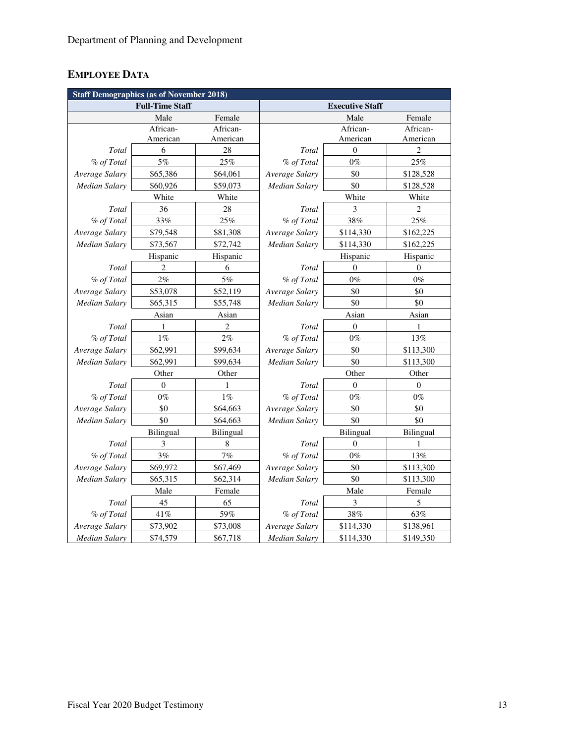# **EMPLOYEE DATA**

| <b>Staff Demographics (as of November 2018)</b> |                        |           |                      |                        |                |  |  |
|-------------------------------------------------|------------------------|-----------|----------------------|------------------------|----------------|--|--|
|                                                 | <b>Full-Time Staff</b> |           |                      | <b>Executive Staff</b> |                |  |  |
|                                                 | Male                   | Female    |                      | Male                   | Female         |  |  |
|                                                 | African-               | African-  |                      | African-               | African-       |  |  |
|                                                 | American               | American  |                      | American               | American       |  |  |
| Total                                           | 6                      | 28        | Total                | $\theta$               | $\overline{c}$ |  |  |
| % of Total                                      | 5%                     | 25%       | % of Total           | $0\%$                  | 25%            |  |  |
| Average Salary                                  | \$65,386               | \$64,061  | Average Salary       | \$0                    | \$128,528      |  |  |
| <b>Median Salary</b>                            | \$60,926               | \$59,073  | Median Salary        | \$0                    | \$128,528      |  |  |
|                                                 | White                  | White     |                      | White                  | White          |  |  |
| Total                                           | 36                     | 28        | Total                | 3                      | $\overline{c}$ |  |  |
| % of Total                                      | 33%                    | 25%       | % of Total           | 38%                    | 25%            |  |  |
| Average Salary                                  | \$79,548               | \$81,308  | Average Salary       | \$114,330              | \$162,225      |  |  |
| <b>Median Salary</b>                            | \$73,567               | \$72,742  | Median Salary        | \$114,330              | \$162,225      |  |  |
|                                                 | Hispanic               | Hispanic  |                      | Hispanic               | Hispanic       |  |  |
| Total                                           | $\overline{c}$         | 6         | Total                | $\mathbf{0}$           | $\mathbf{0}$   |  |  |
| % of Total                                      | 2%                     | $5\%$     | % of Total           | $0\%$                  | $0\%$          |  |  |
| Average Salary                                  | \$53,078               | \$52,119  | Average Salary       | \$0                    | \$0            |  |  |
| <b>Median Salary</b>                            | \$65,315               | \$55,748  | <b>Median Salary</b> | \$0                    | \$0            |  |  |
|                                                 | Asian                  | Asian     |                      | Asian                  | Asian          |  |  |
| Total                                           | 1                      | 2         | Total                | $\boldsymbol{0}$       | 1              |  |  |
| % of Total                                      | 1%                     | $2\%$     | % of Total           | $0\%$                  | 13%            |  |  |
| Average Salary                                  | \$62,991               | \$99,634  | Average Salary       | \$0                    | \$113,300      |  |  |
| <b>Median Salary</b>                            | \$62,991               | \$99,634  | Median Salary        | \$0                    | \$113,300      |  |  |
|                                                 | Other                  | Other     |                      | Other                  | Other          |  |  |
| Total                                           | $\overline{0}$         | 1         | Total                | $\theta$               | $\theta$       |  |  |
| % of Total                                      | $0\%$                  | $1\%$     | % of Total           | $0\%$                  | $0\%$          |  |  |
| Average Salary                                  | \$0                    | \$64,663  | Average Salary       | \$0                    | \$0            |  |  |
| Median Salary                                   | \$0                    | \$64,663  | Median Salary        | \$0                    | \$0            |  |  |
|                                                 | Bilingual              | Bilingual |                      | Bilingual              | Bilingual      |  |  |
| Total                                           | 3                      | 8         | Total                | $\overline{0}$         | 1              |  |  |
| % of Total                                      | 3%                     | 7%        | % of Total           | $0\%$                  | 13%            |  |  |
| Average Salary                                  | \$69,972               | \$67,469  | Average Salary       | \$0                    | \$113,300      |  |  |
| Median Salary                                   | \$65,315<br>\$62,314   |           | \$0<br>Median Salary |                        | \$113,300      |  |  |
|                                                 | Male                   | Female    |                      | Male                   | Female         |  |  |
| Total                                           | 45                     | 65        | Total                | 3                      | 5              |  |  |
| % of Total                                      | 41%                    | 59%       | % of Total           | $38\%$                 | 63%            |  |  |
| Average Salary                                  | \$73,902               | \$73,008  | Average Salary       | \$114,330              | \$138,961      |  |  |
| <b>Median Salary</b>                            | \$74,579               | \$67,718  | <b>Median Salary</b> | \$114,330              | \$149,350      |  |  |